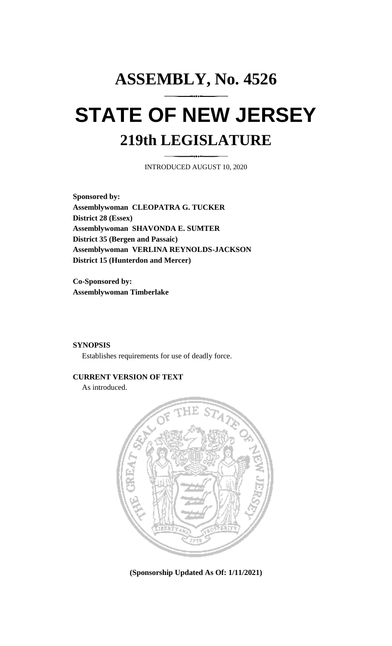# **ASSEMBLY, No. 4526 STATE OF NEW JERSEY 219th LEGISLATURE**

INTRODUCED AUGUST 10, 2020

**Sponsored by: Assemblywoman CLEOPATRA G. TUCKER District 28 (Essex) Assemblywoman SHAVONDA E. SUMTER District 35 (Bergen and Passaic) Assemblywoman VERLINA REYNOLDS-JACKSON District 15 (Hunterdon and Mercer)**

**Co-Sponsored by: Assemblywoman Timberlake**

#### **SYNOPSIS**

Establishes requirements for use of deadly force.

#### **CURRENT VERSION OF TEXT**

As introduced.



**(Sponsorship Updated As Of: 1/11/2021)**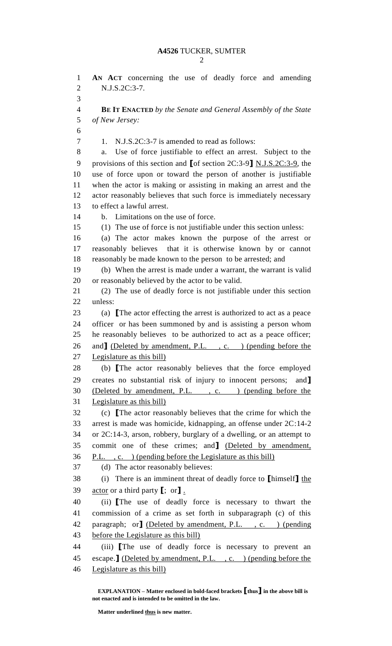| v<br>۰,<br>I |
|--------------|
| i<br>I<br>I  |
|              |

 **AN ACT** concerning the use of deadly force and amending N.J.S.2C:3-7. **BE IT ENACTED** *by the Senate and General Assembly of the State of New Jersey:* 7 1. N.J.S.2C:3-7 is amended to read as follows: a. Use of force justifiable to effect an arrest. Subject to the provisions of this section and **[**of section 2C:3-9**]** N.J.S.2C:3-9, the use of force upon or toward the person of another is justifiable when the actor is making or assisting in making an arrest and the actor reasonably believes that such force is immediately necessary to effect a lawful arrest. b. Limitations on the use of force. (1) The use of force is not justifiable under this section unless: (a) The actor makes known the purpose of the arrest or reasonably believes that it is otherwise known by or cannot reasonably be made known to the person to be arrested; and (b) When the arrest is made under a warrant, the warrant is valid or reasonably believed by the actor to be valid. (2) The use of deadly force is not justifiable under this section unless: (a) **[**The actor effecting the arrest is authorized to act as a peace officer or has been summoned by and is assisting a person whom he reasonably believes to be authorized to act as a peace officer; 26 and <u>J</u> (Deleted by amendment, P.L., c. ) (pending before the Legislature as this bill) (b) **[**The actor reasonably believes that the force employed creates no substantial risk of injury to innocent persons; and**]** (Deleted by amendment, P.L. , c. ) (pending before the Legislature as this bill) (c) **[**The actor reasonably believes that the crime for which the arrest is made was homicide, kidnapping, an offense under 2C:14-2 or 2C:14-3, arson, robbery, burglary of a dwelling, or an attempt to commit one of these crimes; and**]** (Deleted by amendment, P.L. , c. ) (pending before the Legislature as this bill) (d) The actor reasonably believes: (i) There is an imminent threat of deadly force to **[**himself**]** the actor or a third party **[**; or**]** . (ii) **[**The use of deadly force is necessary to thwart the commission of a crime as set forth in subparagraph (c) of this paragraph; or**]** (Deleted by amendment, P.L. , c. ) (pending 43 before the Legislature as this bill) (iii) **[**The use of deadly force is necessary to prevent an escape.**]** (Deleted by amendment, P.L. , c. ) (pending before the Legislature as this bill)

**EXPLANATION – Matter enclosed in bold-faced brackets [thus] in the above bill is not enacted and is intended to be omitted in the law.**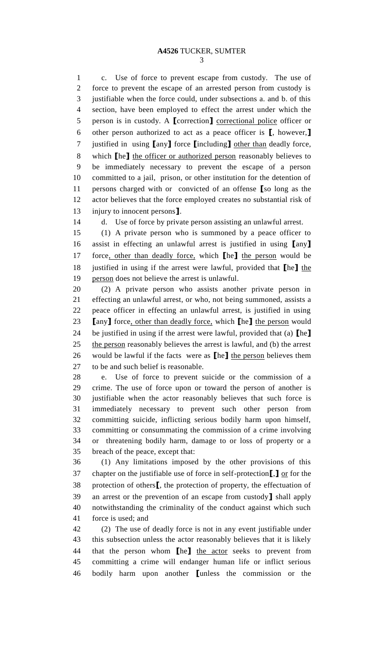## **A4526** TUCKER, SUMTER

 c. Use of force to prevent escape from custody. The use of force to prevent the escape of an arrested person from custody is justifiable when the force could, under subsections a. and b. of this section, have been employed to effect the arrest under which the person is in custody. A **[**correction**]** correctional police officer or other person authorized to act as a peace officer is **[**, however,**]** justified in using **[**any**]** force **[**including**]** other than deadly force, which **[**he**]** the officer or authorized person reasonably believes to be immediately necessary to prevent the escape of a person committed to a jail, prison, or other institution for the detention of persons charged with or convicted of an offense **[**so long as the actor believes that the force employed creates no substantial risk of injury to innocent persons**]**.

d. Use of force by private person assisting an unlawful arrest.

 (1) A private person who is summoned by a peace officer to assist in effecting an unlawful arrest is justified in using **[**any**]** force, other than deadly force, which **[**he**]** the person would be justified in using if the arrest were lawful, provided that **[**he**]** the person does not believe the arrest is unlawful.

 (2) A private person who assists another private person in effecting an unlawful arrest, or who, not being summoned, assists a peace officer in effecting an unlawful arrest, is justified in using **[**any**]** force, other than deadly force, which **[**he**]** the person would be justified in using if the arrest were lawful, provided that (a) **[**he**]** 25 the person reasonably believes the arrest is lawful, and (b) the arrest would be lawful if the facts were as **[**he**]** the person believes them to be and such belief is reasonable.

 e. Use of force to prevent suicide or the commission of a crime. The use of force upon or toward the person of another is justifiable when the actor reasonably believes that such force is immediately necessary to prevent such other person from committing suicide, inflicting serious bodily harm upon himself, committing or consummating the commission of a crime involving or threatening bodily harm, damage to or loss of property or a breach of the peace, except that:

 (1) Any limitations imposed by the other provisions of this chapter on the justifiable use of force in self-protection**[**,**]** or for the protection of others**[**, the protection of property, the effectuation of an arrest or the prevention of an escape from custody**]** shall apply notwithstanding the criminality of the conduct against which such force is used; and

 (2) The use of deadly force is not in any event justifiable under this subsection unless the actor reasonably believes that it is likely that the person whom **[**he**]** the actor seeks to prevent from committing a crime will endanger human life or inflict serious bodily harm upon another **[**unless the commission or the